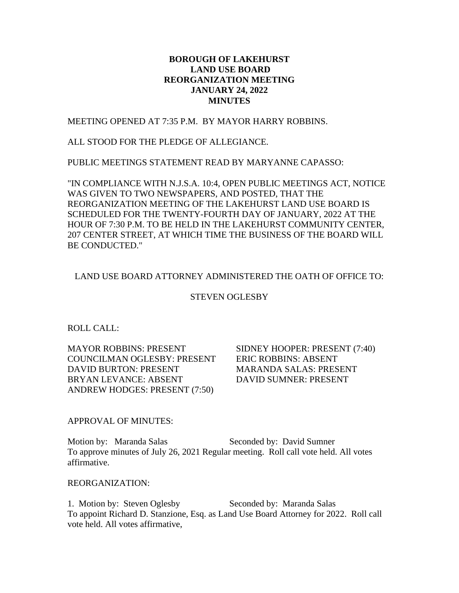# **BOROUGH OF LAKEHURST LAND USE BOARD REORGANIZATION MEETING JANUARY 24, 2022 MINUTES**

MEETING OPENED AT 7:35 P.M. BY MAYOR HARRY ROBBINS.

ALL STOOD FOR THE PLEDGE OF ALLEGIANCE.

PUBLIC MEETINGS STATEMENT READ BY MARYANNE CAPASSO:

"IN COMPLIANCE WITH N.J.S.A. 10:4, OPEN PUBLIC MEETINGS ACT, NOTICE WAS GIVEN TO TWO NEWSPAPERS, AND POSTED, THAT THE REORGANIZATION MEETING OF THE LAKEHURST LAND USE BOARD IS SCHEDULED FOR THE TWENTY-FOURTH DAY OF JANUARY, 2022 AT THE HOUR OF 7:30 P.M. TO BE HELD IN THE LAKEHURST COMMUNITY CENTER, 207 CENTER STREET, AT WHICH TIME THE BUSINESS OF THE BOARD WILL BE CONDUCTED."

## LAND USE BOARD ATTORNEY ADMINISTERED THE OATH OF OFFICE TO:

#### STEVEN OGLESBY

ROLL CALL:

MAYOR ROBBINS: PRESENT SIDNEY HOOPER: PRESENT (7:40) COUNCILMAN OGLESBY: PRESENT ERIC ROBBINS: ABSENT DAVID BURTON: PRESENT MARANDA SALAS: PRESENT BRYAN LEVANCE: ABSENT DAVID SUMNER: PRESENT ANDREW HODGES: PRESENT (7:50)

### APPROVAL OF MINUTES:

Motion by: Maranda Salas Seconded by: David Sumner To approve minutes of July 26, 2021 Regular meeting. Roll call vote held. All votes affirmative.

#### REORGANIZATION:

1. Motion by: Steven Oglesby Seconded by: Maranda Salas To appoint Richard D. Stanzione, Esq. as Land Use Board Attorney for 2022. Roll call vote held. All votes affirmative,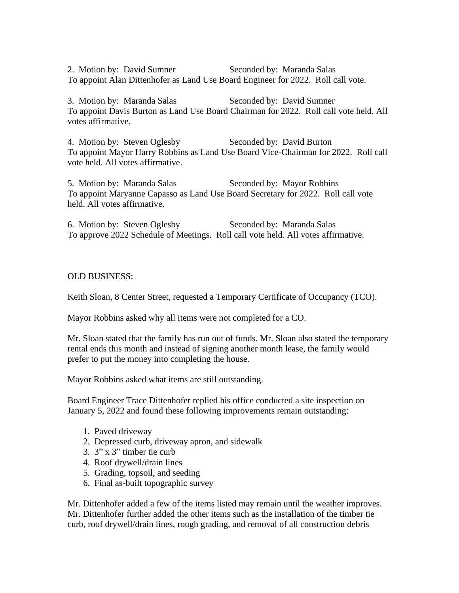2. Motion by: David Sumner Seconded by: Maranda Salas To appoint Alan Dittenhofer as Land Use Board Engineer for 2022. Roll call vote.

3. Motion by: Maranda Salas Seconded by: David Sumner To appoint Davis Burton as Land Use Board Chairman for 2022. Roll call vote held. All votes affirmative.

4. Motion by: Steven Oglesby Seconded by: David Burton To appoint Mayor Harry Robbins as Land Use Board Vice-Chairman for 2022. Roll call vote held. All votes affirmative.

5. Motion by: Maranda Salas Seconded by: Mayor Robbins To appoint Maryanne Capasso as Land Use Board Secretary for 2022. Roll call vote held. All votes affirmative.

6. Motion by: Steven Oglesby Seconded by: Maranda Salas To approve 2022 Schedule of Meetings. Roll call vote held. All votes affirmative.

### OLD BUSINESS:

Keith Sloan, 8 Center Street, requested a Temporary Certificate of Occupancy (TCO).

Mayor Robbins asked why all items were not completed for a CO.

Mr. Sloan stated that the family has run out of funds. Mr. Sloan also stated the temporary rental ends this month and instead of signing another month lease, the family would prefer to put the money into completing the house.

Mayor Robbins asked what items are still outstanding.

Board Engineer Trace Dittenhofer replied his office conducted a site inspection on January 5, 2022 and found these following improvements remain outstanding:

- 1. Paved driveway
- 2. Depressed curb, driveway apron, and sidewalk
- 3. 3" x 3" timber tie curb
- 4. Roof drywell/drain lines
- 5. Grading, topsoil, and seeding
- 6. Final as-built topographic survey

Mr. Dittenhofer added a few of the items listed may remain until the weather improves. Mr. Dittenhofer further added the other items such as the installation of the timber tie curb, roof drywell/drain lines, rough grading, and removal of all construction debris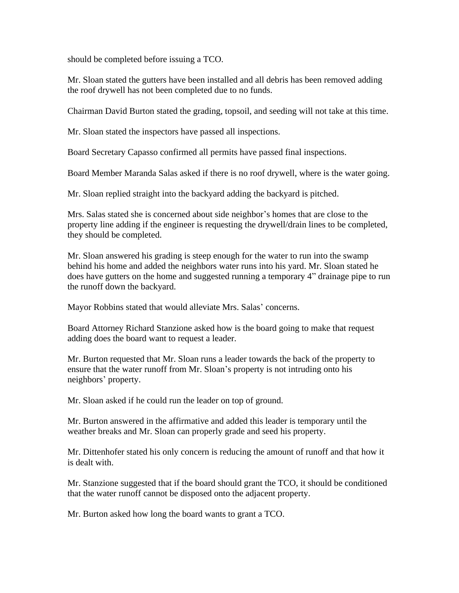should be completed before issuing a TCO.

Mr. Sloan stated the gutters have been installed and all debris has been removed adding the roof drywell has not been completed due to no funds.

Chairman David Burton stated the grading, topsoil, and seeding will not take at this time.

Mr. Sloan stated the inspectors have passed all inspections.

Board Secretary Capasso confirmed all permits have passed final inspections.

Board Member Maranda Salas asked if there is no roof drywell, where is the water going.

Mr. Sloan replied straight into the backyard adding the backyard is pitched.

Mrs. Salas stated she is concerned about side neighbor's homes that are close to the property line adding if the engineer is requesting the drywell/drain lines to be completed, they should be completed.

Mr. Sloan answered his grading is steep enough for the water to run into the swamp behind his home and added the neighbors water runs into his yard. Mr. Sloan stated he does have gutters on the home and suggested running a temporary 4" drainage pipe to run the runoff down the backyard.

Mayor Robbins stated that would alleviate Mrs. Salas' concerns.

Board Attorney Richard Stanzione asked how is the board going to make that request adding does the board want to request a leader.

Mr. Burton requested that Mr. Sloan runs a leader towards the back of the property to ensure that the water runoff from Mr. Sloan's property is not intruding onto his neighbors' property.

Mr. Sloan asked if he could run the leader on top of ground.

Mr. Burton answered in the affirmative and added this leader is temporary until the weather breaks and Mr. Sloan can properly grade and seed his property.

Mr. Dittenhofer stated his only concern is reducing the amount of runoff and that how it is dealt with.

Mr. Stanzione suggested that if the board should grant the TCO, it should be conditioned that the water runoff cannot be disposed onto the adjacent property.

Mr. Burton asked how long the board wants to grant a TCO.